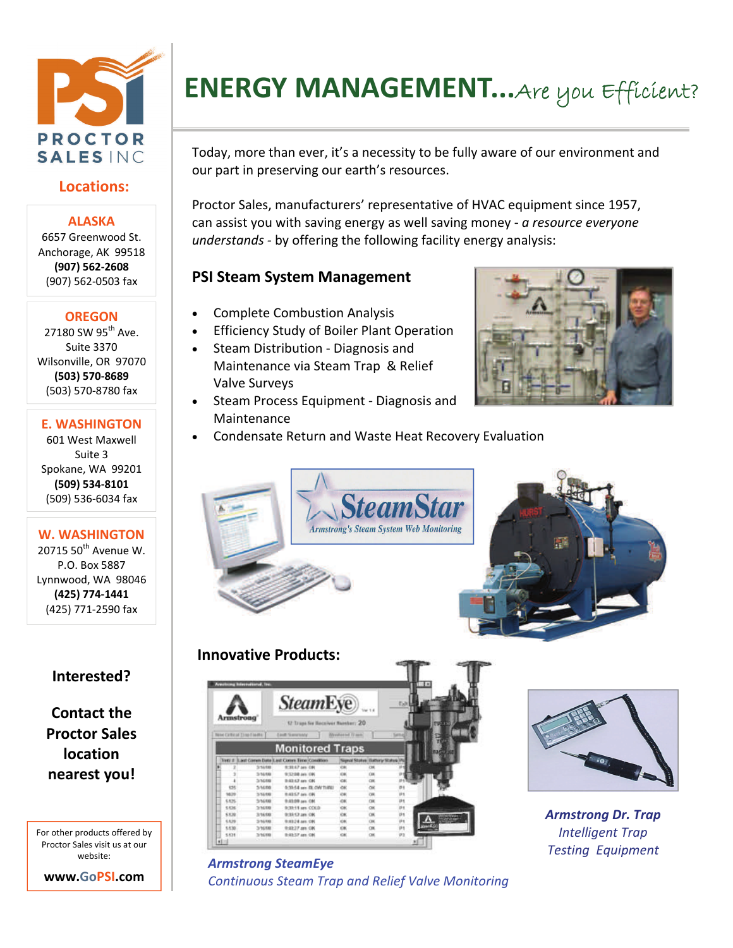

## **Locations:**

#### **ALASKA**

6657 Greenwood St. Anchorage, AK 99518 **(907) 562‐2608** (907) 562‐0503 fax

#### **OREGON**

27180 SW 95<sup>th</sup> Ave. Suite 3370 Wilsonville, OR 97070 **(503) 570‐8689** (503) 570‐8780 fax

#### **E. WASHINGTON**

601 West Maxwell Suite 3 Spokane, WA 99201 **(509) 534‐8101** (509) 536‐6034 fax

### **W. WASHINGTON**

 $2071550$ <sup>th</sup> Avenue W. P.O. Box 5887 Lynnwood, WA 98046 **(425) 774‐1441** (425) 771‐2590 fax

## **Interested?**

**Contact the Proctor Sales location nearest you!**

For other products offered by Proctor Sales visit us at our website:



# **ENERGY MANAGEMENT...**Are you Efficient?

Today, more than ever, it's a necessity to be fully aware of our environment and our part in preserving our earth's resources.

Proctor Sales, manufacturers' representative of HVAC equipment since 1957, can assist you with saving energy as well saving money ‐ *a resource everyone understands ‐* by offering the following facility energy analysis:

## **PSI Steam System Management**

- Complete Combustion Analysis
- Efficiency Study of Boiler Plant Operation
- Steam Distribution ‐ Diagnosis and Maintenance via Steam Trap & Relief Valve Surveys
- Steam Process Equipment ‐ Diagnosis and Maintenance



Condensate Return and Waste Heat Recovery Evaluation









*Armstrong Dr. Trap Intelligent Trap Testing Equipment*

#### *Armstrong SteamEye Continuous Steam Trap and Relief Valve Monitoring*